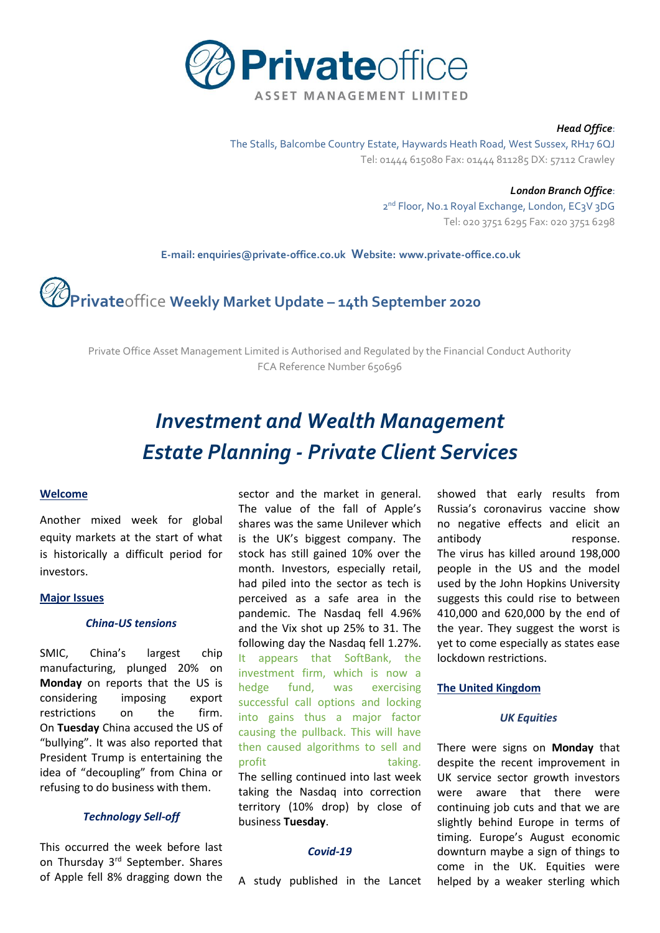

#### *Head Office*:

The Stalls, Balcombe Country Estate, Haywards Heath Road, West Sussex, RH17 6QJ Tel: 01444 615080 Fax: 01444 811285 DX: 57112 Crawley

> *London Branch Office*: 2<sup>nd</sup> Floor, No.1 Royal Exchange, London, EC3V 3DG Tel: 020 3751 6295 Fax: 020 3751 6298

 **E-mail[: enquiries@private-office.co.uk](mailto:enquiries@private-office.co.uk) Website: [www.private-office.co.uk](http://www.private-office.co.uk/)**

# **Private**office **Weekly Market Update – 14th September 2020**

Private Office Asset Management Limited is Authorised and Regulated by the Financial Conduct Authority FCA Reference Number 650696

# *Investment and Wealth Management Estate Planning - Private Client Services*

# **Welcome**

Another mixed week for global equity markets at the start of what is historically a difficult period for investors.

#### **Major Issues**

# *China-US tensions*

SMIC, China's largest chip manufacturing, plunged 20% on **Monday** on reports that the US is considering imposing export restrictions on the firm. On **Tuesday** China accused the US of "bullying". It was also reported that President Trump is entertaining the idea of "decoupling" from China or refusing to do business with them.

# *Technology Sell-off*

This occurred the week before last on Thursday 3rd September. Shares of Apple fell 8% dragging down the sector and the market in general. The value of the fall of Apple's shares was the same Unilever which is the UK's biggest company. The stock has still gained 10% over the month. Investors, especially retail, had piled into the sector as tech is perceived as a safe area in the pandemic. The Nasdaq fell 4.96% and the Vix shot up 25% to 31. The following day the Nasdaq fell 1.27%. It appears that SoftBank, the investment firm, which is now a hedge fund, was exercising successful call options and locking into gains thus a major factor causing the pullback. This will have then caused algorithms to sell and profit taking. The selling continued into last week taking the Nasdaq into correction territory (10% drop) by close of business **Tuesday**.

### *Covid-19*

A study published in the Lancet

showed that early results from Russia's coronavirus vaccine show no negative effects and elicit an antibody response. The virus has killed around 198,000 people in the US and the model used by the John Hopkins University suggests this could rise to between 410,000 and 620,000 by the end of the year. They suggest the worst is yet to come especially as states ease lockdown restrictions.

# **The United Kingdom**

#### *UK Equities*

There were signs on **Monday** that despite the recent improvement in UK service sector growth investors were aware that there were continuing job cuts and that we are slightly behind Europe in terms of timing. Europe's August economic downturn maybe a sign of things to come in the UK. Equities were helped by a weaker sterling which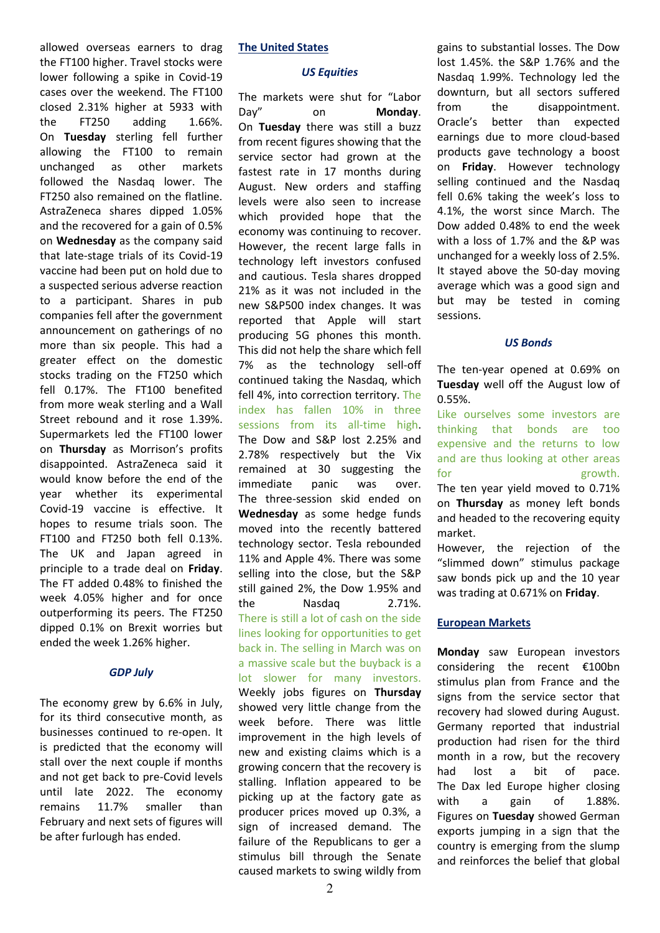allowed overseas earners to drag the FT100 higher. Travel stocks were lower following a spike in Covid-19 cases over the weekend. The FT100 closed 2.31% higher at 5933 with the FT250 adding 1.66%. On **Tuesday** sterling fell further allowing the FT100 to remain unchanged as other markets followed the Nasdaq lower. The FT250 also remained on the flatline. AstraZeneca shares dipped 1.05% and the recovered for a gain of 0.5% on **Wednesday** as the company said that late-stage trials of its Covid-19 vaccine had been put on hold due to a suspected serious adverse reaction to a participant. Shares in pub companies fell after the government announcement on gatherings of no more than six people. This had a greater effect on the domestic stocks trading on the FT250 which fell 0.17%. The FT100 benefited from more weak sterling and a Wall Street rebound and it rose 1.39%. Supermarkets led the FT100 lower on **Thursday** as Morrison's profits disappointed. AstraZeneca said it would know before the end of the year whether its experimental Covid-19 vaccine is effective. It hopes to resume trials soon. The FT100 and FT250 both fell 0.13%. The UK and Japan agreed in principle to a trade deal on **Friday**. The FT added 0.48% to finished the week 4.05% higher and for once outperforming its peers. The FT250 dipped 0.1% on Brexit worries but ended the week 1.26% higher.

# *GDP July*

The economy grew by 6.6% in July, for its third consecutive month, as businesses continued to re-open. It is predicted that the economy will stall over the next couple if months and not get back to pre-Covid levels until late 2022. The economy remains 11.7% smaller than February and next sets of figures will be after furlough has ended.

# **The United States**

### *US Equities*

The markets were shut for "Labor Day" on **Monday**. On **Tuesday** there was still a buzz from recent figures showing that the service sector had grown at the fastest rate in 17 months during August. New orders and staffing levels were also seen to increase which provided hope that the economy was continuing to recover. However, the recent large falls in technology left investors confused and cautious. Tesla shares dropped 21% as it was not included in the new S&P500 index changes. It was reported that Apple will start producing 5G phones this month. This did not help the share which fell 7% as the technology sell-off continued taking the Nasdaq, which fell 4%, into correction territory. The index has fallen 10% in three sessions from its all-time high. The Dow and S&P lost 2.25% and 2.78% respectively but the Vix remained at 30 suggesting the immediate panic was over. The three-session skid ended on **Wednesday** as some hedge funds moved into the recently battered technology sector. Tesla rebounded 11% and Apple 4%. There was some selling into the close, but the S&P still gained 2%, the Dow 1.95% and the Nasdaq 2.71%. There is still a lot of cash on the side lines looking for opportunities to get back in. The selling in March was on a massive scale but the buyback is a lot slower for many investors. Weekly jobs figures on **Thursday** showed very little change from the week before. There was little improvement in the high levels of new and existing claims which is a growing concern that the recovery is stalling. Inflation appeared to be picking up at the factory gate as producer prices moved up 0.3%, a sign of increased demand. The failure of the Republicans to ger a stimulus bill through the Senate caused markets to swing wildly from

gains to substantial losses. The Dow lost 1.45%. the S&P 1.76% and the Nasdaq 1.99%. Technology led the downturn, but all sectors suffered from the disappointment. Oracle's better than expected earnings due to more cloud-based products gave technology a boost on **Friday**. However technology selling continued and the Nasdaq fell 0.6% taking the week's loss to 4.1%, the worst since March. The Dow added 0.48% to end the week with a loss of 1.7% and the &P was unchanged for a weekly loss of 2.5%. It stayed above the 50-day moving average which was a good sign and but may be tested in coming sessions.

# *US Bonds*

The ten-year opened at 0.69% on **Tuesday** well off the August low of 0.55%.

Like ourselves some investors are thinking that bonds are too expensive and the returns to low and are thus looking at other areas for  $\qquad \qquad$  growth. The ten year yield moved to 0.71% on **Thursday** as money left bonds and headed to the recovering equity market.

However, the rejection of the "slimmed down" stimulus package saw bonds pick up and the 10 year was trading at 0.671% on **Friday**.

# **European Markets**

**Monday** saw European investors considering the recent €100bn stimulus plan from France and the signs from the service sector that recovery had slowed during August. Germany reported that industrial production had risen for the third month in a row, but the recovery had lost a bit of pace. The Dax led Europe higher closing with a gain of 1.88%. Figures on **Tuesday** showed German exports jumping in a sign that the country is emerging from the slump and reinforces the belief that global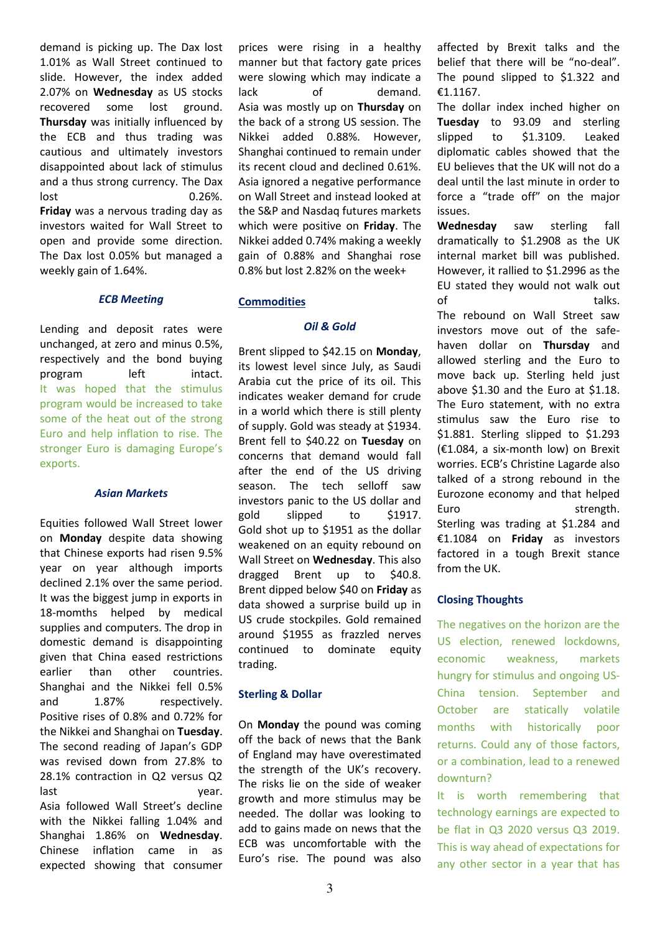demand is picking up. The Dax lost 1.01% as Wall Street continued to slide. However, the index added 2.07% on **Wednesday** as US stocks recovered some lost ground. **Thursday** was initially influenced by the ECB and thus trading was cautious and ultimately investors disappointed about lack of stimulus and a thus strong currency. The Dax lost 0.26%. **Friday** was a nervous trading day as investors waited for Wall Street to open and provide some direction. The Dax lost 0.05% but managed a weekly gain of 1.64%.

# *ECB Meeting*

Lending and deposit rates were unchanged, at zero and minus 0.5%, respectively and the bond buying program left intact. It was hoped that the stimulus program would be increased to take some of the heat out of the strong Euro and help inflation to rise. The stronger Euro is damaging Europe's exports.

### *Asian Markets*

Equities followed Wall Street lower on **Monday** despite data showing that Chinese exports had risen 9.5% year on year although imports declined 2.1% over the same period. It was the biggest jump in exports in 18-momths helped by medical supplies and computers. The drop in domestic demand is disappointing given that China eased restrictions earlier than other countries. Shanghai and the Nikkei fell 0.5% and 1.87% respectively. Positive rises of 0.8% and 0.72% for the Nikkei and Shanghai on **Tuesday**. The second reading of Japan's GDP was revised down from 27.8% to 28.1% contraction in Q2 versus Q2 last vear. Asia followed Wall Street's decline with the Nikkei falling 1.04% and Shanghai 1.86% on **Wednesday**. Chinese inflation came in as expected showing that consumer prices were rising in a healthy manner but that factory gate prices were slowing which may indicate a lack of demand. Asia was mostly up on **Thursday** on the back of a strong US session. The Nikkei added 0.88%. However, Shanghai continued to remain under its recent cloud and declined 0.61%. Asia ignored a negative performance on Wall Street and instead looked at the S&P and Nasdaq futures markets which were positive on **Friday**. The Nikkei added 0.74% making a weekly gain of 0.88% and Shanghai rose 0.8% but lost 2.82% on the week+

# **Commodities**

# *Oil & Gold*

Brent slipped to \$42.15 on **Monday**, its lowest level since July, as Saudi Arabia cut the price of its oil. This indicates weaker demand for crude in a world which there is still plenty of supply. Gold was steady at \$1934. Brent fell to \$40.22 on **Tuesday** on concerns that demand would fall after the end of the US driving season. The tech selloff saw investors panic to the US dollar and gold slipped to \$1917. Gold shot up to \$1951 as the dollar weakened on an equity rebound on Wall Street on **Wednesday**. This also dragged Brent up to \$40.8. Brent dipped below \$40 on **Friday** as data showed a surprise build up in US crude stockpiles. Gold remained around \$1955 as frazzled nerves continued to dominate equity trading.

# **Sterling & Dollar**

On **Monday** the pound was coming off the back of news that the Bank of England may have overestimated the strength of the UK's recovery. The risks lie on the side of weaker growth and more stimulus may be needed. The dollar was looking to add to gains made on news that the ECB was uncomfortable with the Euro's rise. The pound was also

affected by Brexit talks and the belief that there will be "no-deal". The pound slipped to \$1.322 and €1.1167.

The dollar index inched higher on **Tuesday** to 93.09 and sterling slipped to \$1.3109. Leaked diplomatic cables showed that the EU believes that the UK will not do a deal until the last minute in order to force a "trade off" on the major issues.

**Wednesday** saw sterling fall dramatically to \$1.2908 as the UK internal market bill was published. However, it rallied to \$1.2996 as the EU stated they would not walk out of talks.

The rebound on Wall Street saw investors move out of the safehaven dollar on **Thursday** and allowed sterling and the Euro to move back up. Sterling held just above \$1.30 and the Euro at \$1.18. The Euro statement, with no extra stimulus saw the Euro rise to \$1.881. Sterling slipped to \$1.293 (€1.084, a six-month low) on Brexit worries. ECB's Christine Lagarde also talked of a strong rebound in the Eurozone economy and that helped Euro strength. Sterling was trading at \$1.284 and €1.1084 on **Friday** as investors factored in a tough Brexit stance from the UK.

# **Closing Thoughts**

The negatives on the horizon are the US election, renewed lockdowns, economic weakness, markets hungry for stimulus and ongoing US-China tension. September and October are statically volatile months with historically poor returns. Could any of those factors, or a combination, lead to a renewed downturn?

It is worth remembering that technology earnings are expected to be flat in Q3 2020 versus Q3 2019. This is way ahead of expectations for any other sector in a year that has